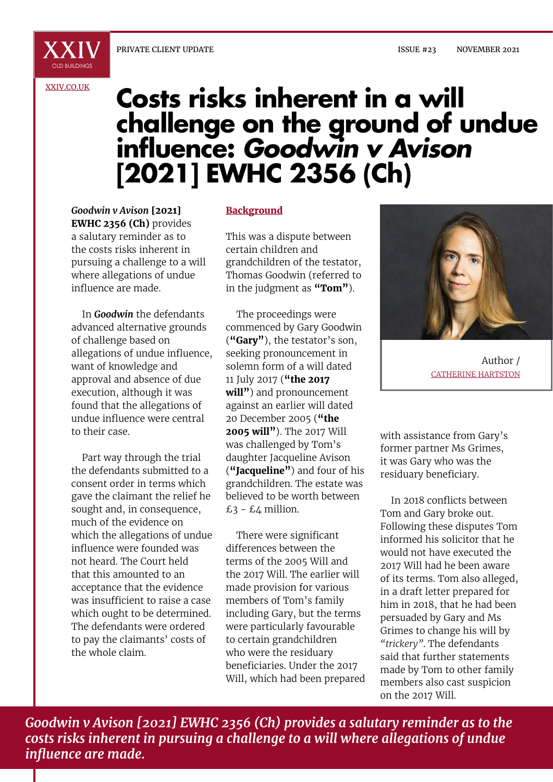#### [XXIV.CO.UK](http://xxiv.co.uk)

# **Costs risks inherent in a will challenge on the ground of undue influence:** *Goodwin v Avison* **[2021] EWHC 2356 (Ch)**

*Goodwin v Avison* **[2021] EWHC 2356 (Ch)** provides a salutary reminder as to the costs risks inherent in pursuing a challenge to a will where allegations of undue influence are made.

In *Goodwin* the defendants advanced alternative grounds of challenge based on allegations of undue influence, want of knowledge and approval and absence of due execution, although it was found that the allegations of undue influence were central to their case.

Part way through the trial the defendants submitted to a consent order in terms which gave the claimant the relief he sought and, in consequence, much of the evidence on which the allegations of undue influence were founded was not heard. The Court held that this amounted to an acceptance that the evidence was insufficient to raise a case which ought to be determined. The defendants were ordered to pay the claimants' costs of the whole claim.

#### **Background**

This was a dispute between certain children and grandchildren of the testator, Thomas Goodwin (referred to in the judgment as **"Tom"**).

The proceedings were commenced by Gary Goodwin (**"Gary"**), the testator's son, seeking pronouncement in solemn form of a will dated 11 July 2017 (**"the 2017 will"**) and pronouncement against an earlier will dated 20 December 2005 (**"the 2005 will"**). The 2017 Will was challenged by Tom's daughter Jacqueline Avison (**"Jacqueline"**) and four of his grandchildren. The estate was believed to be worth between  $£3 - £4$  million.

There were significant differences between the terms of the 2005 Will and the 2017 Will. The earlier will made provision for various members of Tom's family including Gary, but the terms were particularly favourable to certain grandchildren who were the residuary beneficiaries. Under the 2017 Will, which had been prepared



Author / CATHERINE HARTSTON

with assistance from Gary's former partner Ms Grimes, it was Gary who was the residuary beneficiary.

In 2018 conflicts between Tom and Gary broke out. Following these disputes Tom informed his solicitor that he would not have executed the 2017 Will had he been aware of its terms. Tom also alleged, in a draft letter prepared for him in 2018, that he had been persuaded by Gary and Ms Grimes to change his will by *"trickery"*. The defendants said that further statements made by Tom to other family members also cast suspicion on the 2017 Will.

*Goodwin v Avison [2021] EWHC 2356 (Ch) provides a salutary reminder as to the costs risks inherent in pursuing a challenge to a will where allegations of undue influence are made.*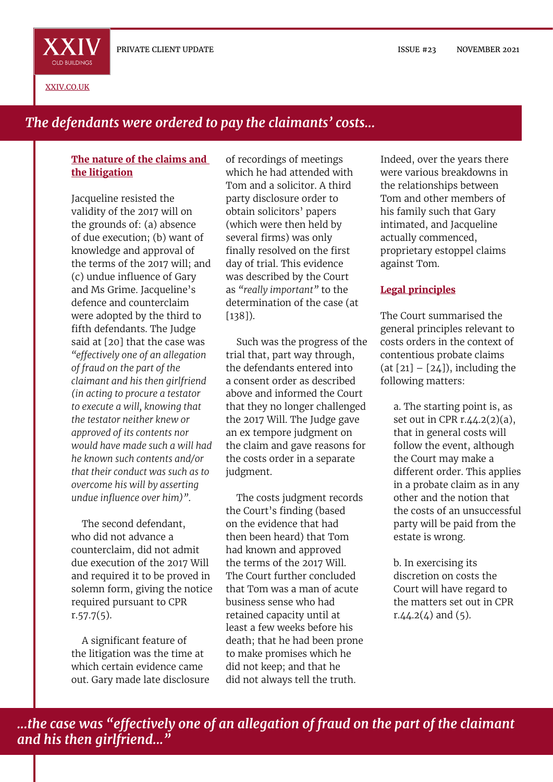

[XXIV.CO.UK](http://xxiv.co.uk)

# *The defendants were ordered to pay the claimants' costs...*

#### **The nature of the claims and the litigation**

Jacqueline resisted the validity of the 2017 will on the grounds of: (a) absence of due execution; (b) want of knowledge and approval of the terms of the 2017 will; and (c) undue influence of Gary and Ms Grime. Jacqueline's defence and counterclaim were adopted by the third to fifth defendants. The Judge said at [20] that the case was *"effectively one of an allegation of fraud on the part of the claimant and his then girlfriend (in acting to procure a testator to execute a will, knowing that the testator neither knew or approved of its contents nor would have made such a will had he known such contents and/or that their conduct was such as to overcome his will by asserting undue influence over him)"*.

The second defendant, who did not advance a counterclaim, did not admit due execution of the 2017 Will and required it to be proved in solemn form, giving the notice required pursuant to CPR  $r.57.7(5)$ .

A significant feature of the litigation was the time at which certain evidence came out. Gary made late disclosure

of recordings of meetings which he had attended with Tom and a solicitor. A third party disclosure order to obtain solicitors' papers (which were then held by several firms) was only finally resolved on the first day of trial. This evidence was described by the Court as *"really important"* to the determination of the case (at [138]).

Such was the progress of the trial that, part way through, the defendants entered into a consent order as described above and informed the Court that they no longer challenged the 2017 Will. The Judge gave an ex tempore judgment on the claim and gave reasons for the costs order in a separate judgment.

The costs judgment records the Court's finding (based on the evidence that had then been heard) that Tom had known and approved the terms of the 2017 Will. The Court further concluded that Tom was a man of acute business sense who had retained capacity until at least a few weeks before his death; that he had been prone to make promises which he did not keep; and that he did not always tell the truth.

Indeed, over the years there were various breakdowns in the relationships between Tom and other members of his family such that Gary intimated, and Jacqueline actually commenced, proprietary estoppel claims against Tom.

#### **Legal principles**

The Court summarised the general principles relevant to costs orders in the context of contentious probate claims  $(at [21] - [24])$ , including the following matters:

a. The starting point is, as set out in CPR  $r.44.2(2)(a)$ , that in general costs will follow the event, although the Court may make a different order. This applies in a probate claim as in any other and the notion that the costs of an unsuccessful party will be paid from the estate is wrong.

b. In exercising its discretion on costs the Court will have regard to the matters set out in CPR r. $4.2(4)$  and  $(5)$ .

*...the case was "effectively one of an allegation of fraud on the part of the claimant and his then girlfriend..."*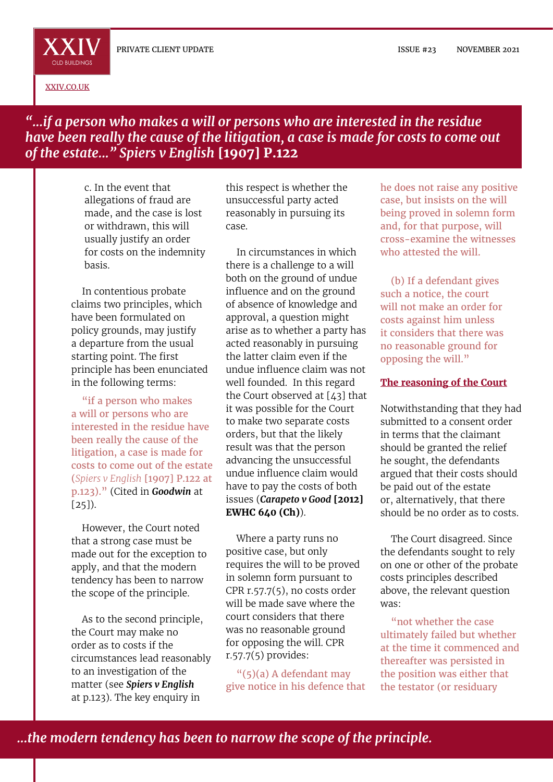

[XXIV.CO.UK](http://xxiv.co.uk)

### *"...if a person who makes a will or persons who are interested in the residue have been really the cause of the litigation, a case is made for costs to come out of the estate..." Spiers v English* **[1907] P.122**

c. In the event that allegations of fraud are made, and the case is lost or withdrawn, this will usually justify an order for costs on the indemnity basis.

In contentious probate claims two principles, which have been formulated on policy grounds, may justify a departure from the usual starting point. The first principle has been enunciated in the following terms:

"if a person who makes a will or persons who are interested in the residue have been really the cause of the litigation, a case is made for costs to come out of the estate (*Spiers v English* [1907] P.122 at p.123)." (Cited in *Goodwin* at  $[25]$ .

However, the Court noted that a strong case must be made out for the exception to apply, and that the modern tendency has been to narrow the scope of the principle.

As to the second principle, the Court may make no order as to costs if the circumstances lead reasonably to an investigation of the matter (see *Spiers v English* at p.123). The key enquiry in

this respect is whether the unsuccessful party acted reasonably in pursuing its case.

In circumstances in which there is a challenge to a will both on the ground of undue influence and on the ground of absence of knowledge and approval, a question might arise as to whether a party has acted reasonably in pursuing the latter claim even if the undue influence claim was not well founded. In this regard the Court observed at [43] that it was possible for the Court to make two separate costs orders, but that the likely result was that the person advancing the unsuccessful undue influence claim would have to pay the costs of both issues (*Carapeto v Good* **[2012] EWHC 640 (Ch)**).

Where a party runs no positive case, but only requires the will to be proved in solemn form pursuant to CPR r.57.7(5), no costs order will be made save where the court considers that there was no reasonable ground for opposing the will. CPR r.57.7(5) provides:

"(5)(a) A defendant may give notice in his defence that

he does not raise any positive case, but insists on the will being proved in solemn form and, for that purpose, will cross-examine the witnesses who attested the will

(b) If a defendant gives such a notice, the court will not make an order for costs against him unless it considers that there was no reasonable ground for opposing the will."

#### **The reasoning of the Court**

Notwithstanding that they had submitted to a consent order in terms that the claimant should be granted the relief he sought, the defendants argued that their costs should be paid out of the estate or, alternatively, that there should be no order as to costs.

The Court disagreed. Since the defendants sought to rely on one or other of the probate costs principles described above, the relevant question was:

"not whether the case ultimately failed but whether at the time it commenced and thereafter was persisted in the position was either that the testator (or residuary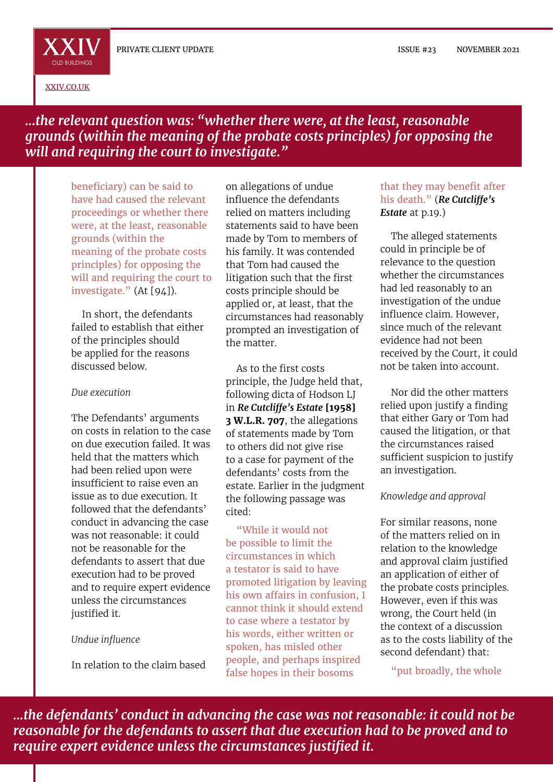ISSUE #23 NOVEMBER 2021

[XXIV.CO.UK](http://xxiv.co.uk)

OLD BUILDINGS

*...the relevant question was: "whether there were, at the least, reasonable grounds (within the meaning of the probate costs principles) for opposing the will and requiring the court to investigate."*

beneficiary) can be said to have had caused the relevant proceedings or whether there were, at the least, reasonable grounds (within the meaning of the probate costs principles) for opposing the will and requiring the court to investigate." (At [94]).

In short, the defendants failed to establish that either of the principles should be applied for the reasons discussed below.

#### *Due execution*

The Defendants' arguments on costs in relation to the case on due execution failed. It was held that the matters which had been relied upon were insufficient to raise even an issue as to due execution. It followed that the defendants' conduct in advancing the case was not reasonable: it could not be reasonable for the defendants to assert that due execution had to be proved and to require expert evidence unless the circumstances justified it.

#### *Undue influence*

In relation to the claim based

on allegations of undue influence the defendants relied on matters including statements said to have been made by Tom to members of his family. It was contended that Tom had caused the litigation such that the first costs principle should be applied or, at least, that the circumstances had reasonably prompted an investigation of the matter.

As to the first costs principle, the Judge held that, following dicta of Hodson LJ in *Re Cutcliffe's Estate* **[1958] 3 W.L.R. 707**, the allegations of statements made by Tom to others did not give rise to a case for payment of the defendants' costs from the estate. Earlier in the judgment the following passage was cited:

"While it would not be possible to limit the circumstances in which a testator is said to have promoted litigation by leaving his own affairs in confusion, I cannot think it should extend to case where a testator by his words, either written or spoken, has misled other people, and perhaps inspired false hopes in their bosoms

#### that they may benefit after his death." (*Re Cutcliffe's Estate* at p.19.)

The alleged statements could in principle be of relevance to the question whether the circumstances had led reasonably to an investigation of the undue influence claim. However, since much of the relevant evidence had not been received by the Court, it could not be taken into account.

Nor did the other matters relied upon justify a finding that either Gary or Tom had caused the litigation, or that the circumstances raised sufficient suspicion to justify an investigation.

#### *Knowledge and approval*

For similar reasons, none of the matters relied on in relation to the knowledge and approval claim justified an application of either of the probate costs principles. However, even if this was wrong, the Court held (in the context of a discussion as to the costs liability of the second defendant) that:

"put broadly, the whole

*...the defendants' conduct in advancing the case was not reasonable: it could not be reasonable for the defendants to assert that due execution had to be proved and to require expert evidence unless the circumstances justified it.*